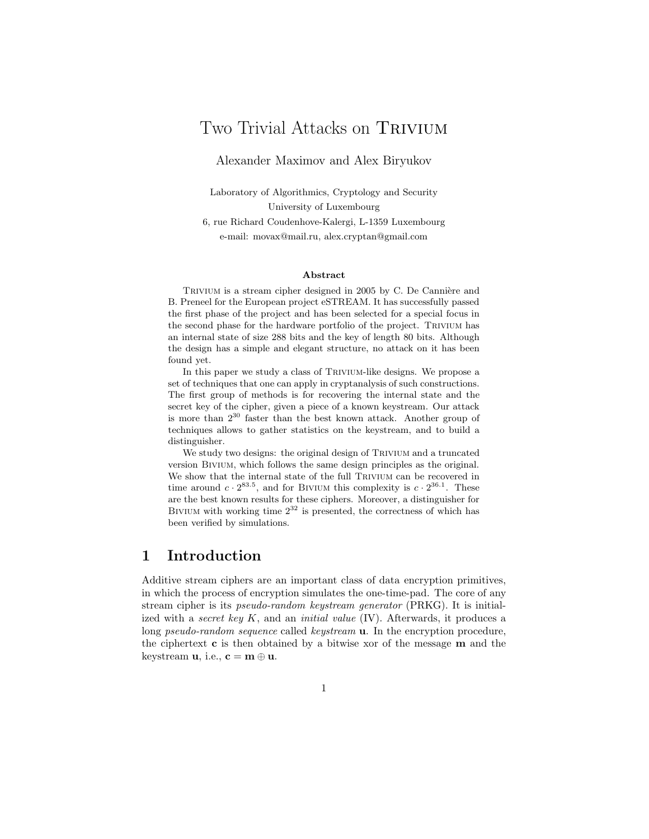# Two Trivial Attacks on TRIVIUM

Alexander Maximov and Alex Biryukov

Laboratory of Algorithmics, Cryptology and Security University of Luxembourg

6, rue Richard Coudenhove-Kalergi, L-1359 Luxembourg e-mail: movax@mail.ru, alex.cryptan@gmail.com

#### **Abstract**

TRIVIUM is a stream cipher designed in 2005 by C. De Cannière and B. Preneel for the European project eSTREAM. It has successfully passed the first phase of the project and has been selected for a special focus in the second phase for the hardware portfolio of the project. Trivium has an internal state of size 288 bits and the key of length 80 bits. Although the design has a simple and elegant structure, no attack on it has been found yet.

In this paper we study a class of TRIVIUM-like designs. We propose a set of techniques that one can apply in cryptanalysis of such constructions. The first group of methods is for recovering the internal state and the secret key of the cipher, given a piece of a known keystream. Our attack is more than 2<sup>30</sup> faster than the best known attack. Another group of techniques allows to gather statistics on the keystream, and to build a distinguisher.

We study two designs: the original design of TRIVIUM and a truncated version Bivium, which follows the same design principles as the original. We show that the internal state of the full TRIVIUM can be recovered in time around  $c \cdot 2^{83.5}$ , and for BIVIUM this complexity is  $c \cdot 2^{36.1}$ . These are the best known results for these ciphers. Moreover, a distinguisher for BIVIUM with working time  $2^{32}$  is presented, the correctness of which has been verified by simulations.

## **1 Introduction**

Additive stream ciphers are an important class of data encryption primitives, in which the process of encryption simulates the one-time-pad. The core of any stream cipher is its *pseudo-random keystream generator* (PRKG). It is initialized with a *secret key* K, and an *initial value* (IV). Afterwards, it produces a long *pseudo-random sequence* called *keystream* **u**. In the encryption procedure, the ciphertext **c** is then obtained by a bitwise xor of the message **m** and the keystream **u**, i.e.,  $\mathbf{c} = \mathbf{m} \oplus \mathbf{u}$ .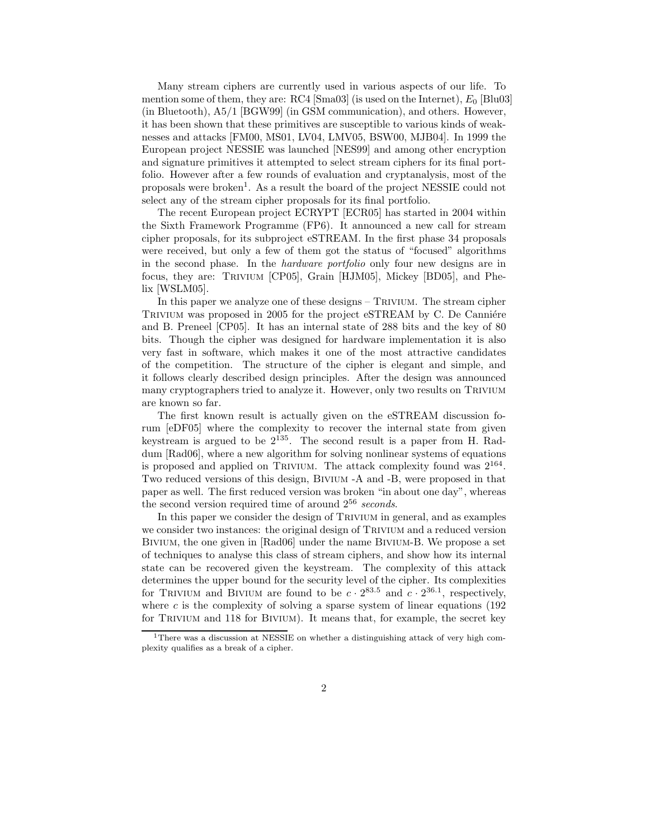Many stream ciphers are currently used in various aspects of our life. To mention some of them, they are: RC4 [Sma03] (is used on the Internet),  $E_0$  [Blu03] (in Bluetooth), A5/1 [BGW99] (in GSM communication), and others. However, it has been shown that these primitives are susceptible to various kinds of weaknesses and attacks [FM00, MS01, LV04, LMV05, BSW00, MJB04]. In 1999 the European project NESSIE was launched [NES99] and among other encryption and signature primitives it attempted to select stream ciphers for its final portfolio. However after a few rounds of evaluation and cryptanalysis, most of the proposals were broken<sup>1</sup>. As a result the board of the project NESSIE could not select any of the stream cipher proposals for its final portfolio.

The recent European project ECRYPT [ECR05] has started in 2004 within the Sixth Framework Programme (FP6). It announced a new call for stream cipher proposals, for its subproject eSTREAM. In the first phase 34 proposals were received, but only a few of them got the status of "focused" algorithms in the second phase. In the *hardware portfolio* only four new designs are in focus, they are: Trivium [CP05], Grain [HJM05], Mickey [BD05], and Phelix [WSLM05].

In this paper we analyze one of these designs – TRIVIUM. The stream cipher TRIVIUM was proposed in 2005 for the project eSTREAM by C. De Canniére and B. Preneel [CP05]. It has an internal state of 288 bits and the key of 80 bits. Though the cipher was designed for hardware implementation it is also very fast in software, which makes it one of the most attractive candidates of the competition. The structure of the cipher is elegant and simple, and it follows clearly described design principles. After the design was announced many cryptographers tried to analyze it. However, only two results on TRIVIUM are known so far.

The first known result is actually given on the eSTREAM discussion forum [eDF05] where the complexity to recover the internal state from given keystream is argued to be  $2^{135}$ . The second result is a paper from H. Raddum [Rad06], where a new algorithm for solving nonlinear systems of equations is proposed and applied on TRIVIUM. The attack complexity found was  $2^{164}$ . Two reduced versions of this design, Bivium -A and -B, were proposed in that paper as well. The first reduced version was broken "in about one day", whereas the second version required time of around 2<sup>56</sup> *seconds*.

In this paper we consider the design of Trivium in general, and as examples we consider two instances: the original design of TRIVIUM and a reduced version Bivium, the one given in [Rad06] under the name Bivium-B. We propose a set of techniques to analyse this class of stream ciphers, and show how its internal state can be recovered given the keystream. The complexity of this attack determines the upper bound for the security level of the cipher. Its complexities for TRIVIUM and BIVIUM are found to be  $c \cdot 2^{83.5}$  and  $c \cdot 2^{36.1}$ , respectively, where  $c$  is the complexity of solving a sparse system of linear equations (192) for TRIVIUM and 118 for BIVIUM). It means that, for example, the secret key

<sup>1</sup>There was a discussion at NESSIE on whether a distinguishing attack of very high complexity qualifies as a break of a cipher.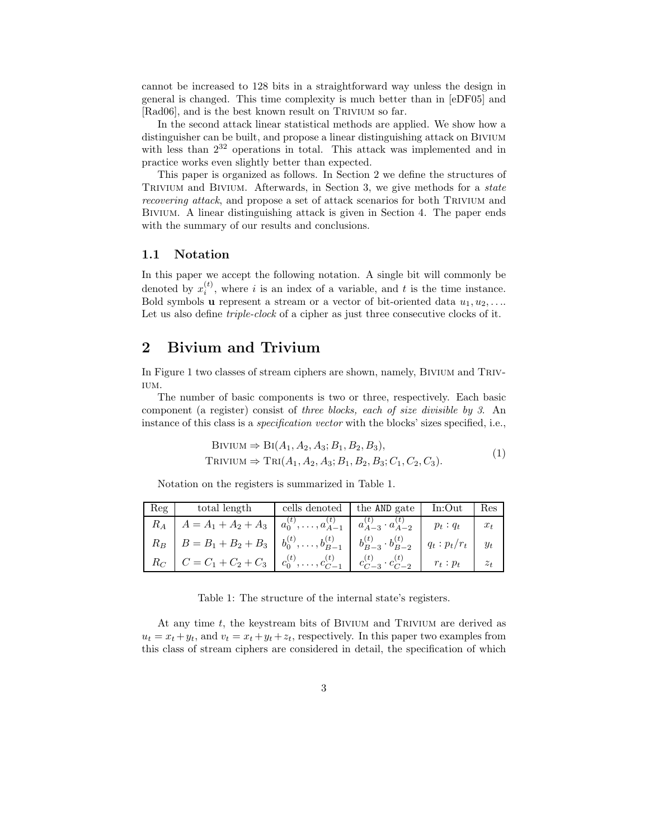cannot be increased to 128 bits in a straightforward way unless the design in general is changed. This time complexity is much better than in [eDF05] and [Rad06], and is the best known result on TRIVIUM so far.

In the second attack linear statistical methods are applied. We show how a distinguisher can be built, and propose a linear distinguishing attack on Bivium with less than  $2^{32}$  operations in total. This attack was implemented and in practice works even slightly better than expected.

This paper is organized as follows. In Section 2 we define the structures of Trivium and Bivium. Afterwards, in Section 3, we give methods for a *state recovering attack*, and propose a set of attack scenarios for both TRIVIUM and Bivium. A linear distinguishing attack is given in Section 4. The paper ends with the summary of our results and conclusions.

#### **1.1 Notation**

In this paper we accept the following notation. A single bit will commonly be denoted by  $x_i^{(t)}$ , where i is an index of a variable, and t is the time instance. Bold symbols **u** represent a stream or a vector of bit-oriented data  $u_1, u_2, \ldots$ Let us also define *triple-clock* of a cipher as just three consecutive clocks of it.

## **2 Bivium and Trivium**

In Figure 1 two classes of stream ciphers are shown, namely, BIVIUM and TRIV-IUM.

The number of basic components is two or three, respectively. Each basic component (a register) consist of *three blocks, each of size divisible by 3*. An instance of this class is a *specification vector* with the blocks' sizes specified, i.e.,

BIVIUM ⇒ 
$$
Bi(A_1, A_2, A_3; B_1, B_2, B_3),
$$
  
TRIVIUM ⇒  $TRI(A_1, A_2, A_3; B_1, B_2, B_3; C_1, C_2, C_3).$  (1)

Notation on the registers is summarized in Table 1.

| Reg | total length                                                                                                       | cells denoted the AND gate In:Out |  | Res   |
|-----|--------------------------------------------------------------------------------------------------------------------|-----------------------------------|--|-------|
|     | $R_A$ $A = A_1 + A_2 + A_3$ $a_0^{(t)}, \ldots, a_{A-1}^{(t)}$ $a_{A-3}^{(t)} \cdot a_{A-2}^{(t)}$ $p_t : q_t$     |                                   |  |       |
|     | $R_B$ $B = B_1 + B_2 + B_3$ $b_0^{(t)}, \ldots, b_{B-1}^{(t)}$ $b_{B-3}^{(t)} \cdot b_{B-2}^{(t)}$ $q_t : p_t/r_t$ |                                   |  | $y_t$ |
|     | $R_C$ $C = C_1 + C_2 + C_3$ $c_0^{(t)}, \ldots, c_{C-1}^{(t)}$ $c_{C-3}^{(t)} \cdot c_{C-2}^{(t)}$ $r_t : p_t$     |                                   |  | $z_t$ |

Table 1: The structure of the internal state's registers.

At any time  $t$ , the keystream bits of BIVIUM and TRIVIUM are derived as  $u_t = x_t + y_t$ , and  $v_t = x_t + y_t + z_t$ , respectively. In this paper two examples from this class of stream ciphers are considered in detail, the specification of which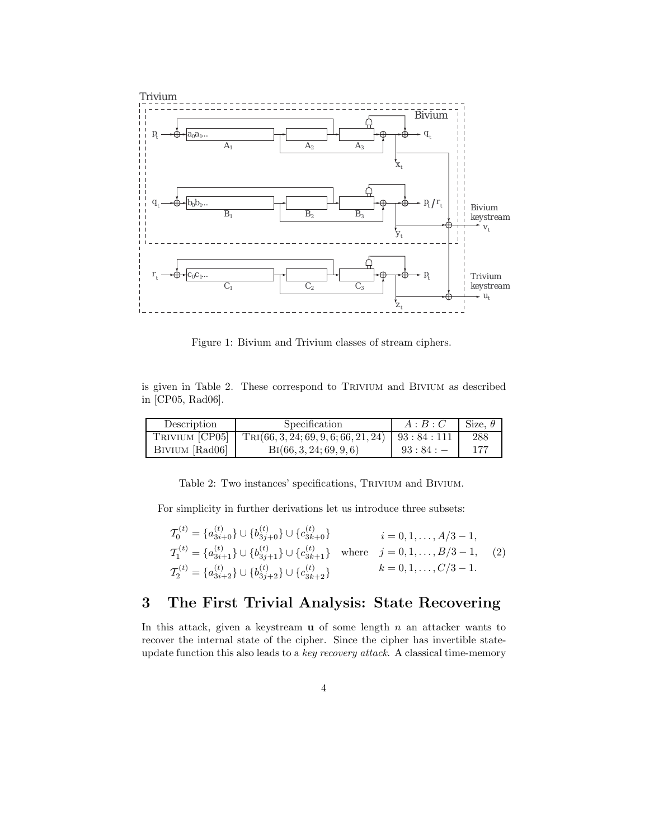

Figure 1: Bivium and Trivium classes of stream ciphers.

is given in Table 2. These correspond to Trivium and Bivium as described in [CP05, Rad06].

| Description    | Specification                                          | A:B:C  | Size. $\theta$ |
|----------------|--------------------------------------------------------|--------|----------------|
| TRIVIUM [CP05] | $TRI(66, 3, 24; 69, 9, 6; 66, 21, 24)$   93 : 84 : 111 |        | 288            |
| BIVIUM [Rad06] | $\text{Bi}(66, 3, 24; 69, 9, 6)$                       | 93:84: | 177            |

Table 2: Two instances' specifications, Trivium and Bivium.

For simplicity in further derivations let us introduce three subsets:

$$
T_0^{(t)} = \{a_{3i+0}^{(t)}\} \cup \{b_{3j+0}^{(t)}\} \cup \{c_{3k+0}^{(t)}\} \qquad i = 0, 1, ..., A/3 - 1,
$$
  
\n
$$
T_1^{(t)} = \{a_{3i+1}^{(t)}\} \cup \{b_{3j+1}^{(t)}\} \cup \{c_{3k+1}^{(t)}\} \qquad \text{where} \quad j = 0, 1, ..., B/3 - 1, \quad (2)
$$
  
\n
$$
T_2^{(t)} = \{a_{3i+2}^{(t)}\} \cup \{b_{3j+2}^{(t)}\} \cup \{c_{3k+2}^{(t)}\} \qquad k = 0, 1, ..., C/3 - 1.
$$

## **3 The First Trivial Analysis: State Recovering**

In this attack, given a keystream  $\bf{u}$  of some length  $n$  an attacker wants to recover the internal state of the cipher. Since the cipher has invertible stateupdate function this also leads to a *key recovery attack*. A classical time-memory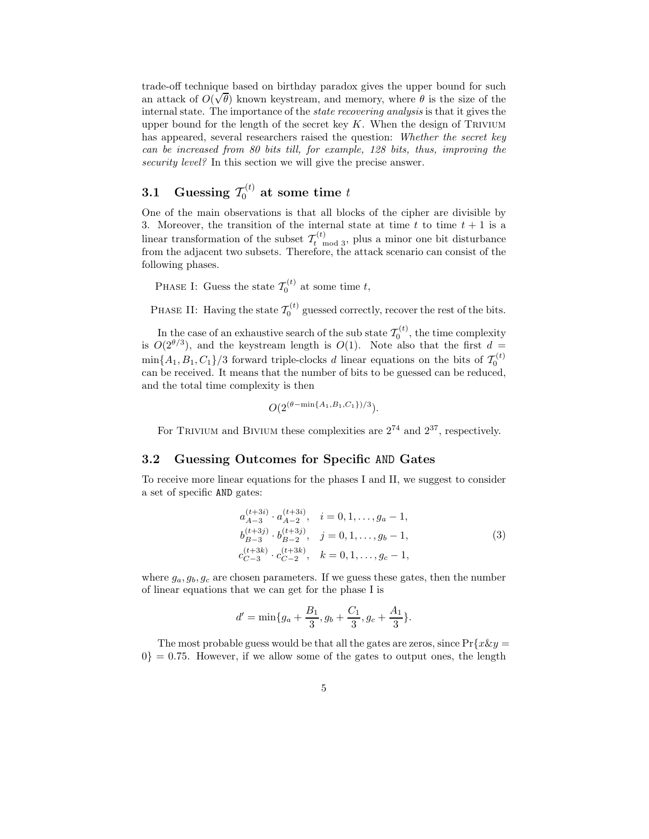trade-off technique based on birthday paradox gives the upper bound for such √ an attack of  $O(\sqrt{\theta})$  known keystream, and memory, where  $\theta$  is the size of the internal state. The importance of the *state recovering analysis* is that it gives the upper bound for the length of the secret key  $K$ . When the design of TRIVIUM has appeared, several researchers raised the question: *Whether the secret key can be increased from 80 bits till, for example, 128 bits, thus, improving the security level?* In this section we will give the precise answer.

# **3.1** Guessing  $\mathcal{T}_0^{(t)}$  at some time  $t$

One of the main observations is that all blocks of the cipher are divisible by 3. Moreover, the transition of the internal state at time  $t$  to time  $t + 1$  is a linear transformation of the subset  $\mathcal{T}_{t \text{ mod } 3}^{(t)}$ , plus a minor one bit disturbance from the adjacent two subsets. Therefore, the attack scenario can consist of the following phases.

PHASE I: Guess the state  $\mathcal{T}_0^{(t)}$  at some time t,

PHASE II: Having the state  $\mathcal{T}_0^{(t)}$  guessed correctly, recover the rest of the bits.

In the case of an exhaustive search of the sub state  $\mathcal{T}_0^{(t)}$ , the time complexity is  $O(2^{\theta/3})$ , and the keystream length is  $O(1)$ . Note also that the first  $d =$  $\min\{A_1, B_1, C_1\}/3$  forward triple-clocks d linear equations on the bits of  $\mathcal{T}_0^{(t)}$ can be received. It means that the number of bits to be guessed can be reduced, and the total time complexity is then

$$
O(2^{(\theta - \min\{A_1, B_1, C_1\})/3}).
$$

For TRIVIUM and BIVIUM these complexities are  $2^{74}$  and  $2^{37}$ , respectively.

#### **3.2 Guessing Outcomes for Specific** AND **Gates**

To receive more linear equations for the phases I and II, we suggest to consider a set of specific AND gates:

$$
a_{A-3}^{(t+3i)} \cdot a_{A-2}^{(t+3i)}, \quad i = 0, 1, \dots, g_a - 1,
$$
  
\n
$$
b_{B-3}^{(t+3j)} \cdot b_{B-2}^{(t+3j)}, \quad j = 0, 1, \dots, g_b - 1,
$$
  
\n
$$
c_{C-3}^{(t+3k)} \cdot c_{C-2}^{(t+3k)}, \quad k = 0, 1, \dots, g_c - 1,
$$
\n(3)

where  $g_a, g_b, g_c$  are chosen parameters. If we guess these gates, then the number of linear equations that we can get for the phase I is

$$
d' = \min\{g_a + \frac{B_1}{3}, g_b + \frac{C_1}{3}, g_c + \frac{A_1}{3}\}.
$$

The most probable guess would be that all the gates are zeros, since  $Pr\{x\&y=$  $0$ } = 0.75. However, if we allow some of the gates to output ones, the length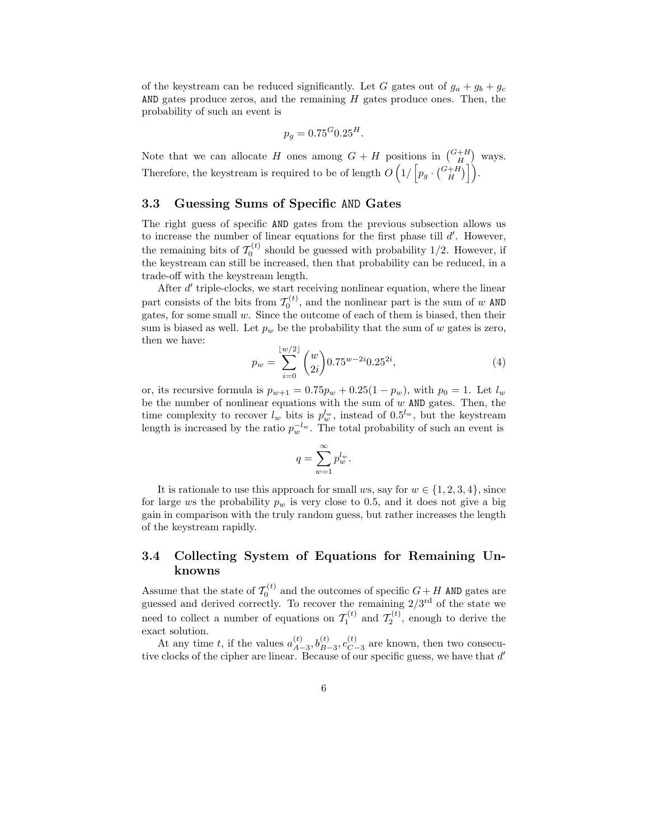of the keystream can be reduced significantly. Let G gates out of  $g_a + g_b + g_c$ AND gates produce zeros, and the remaining  $H$  gates produce ones. Then, the probability of such an event is

$$
p_g = 0.75^G 0.25^H.
$$

Note that we can allocate H ones among  $G + H$  positions in  $\binom{G+H}{H}$  ways. Therefore, the keystream is required to be of length  $O\left(1/\left[p_g\cdot\binom{G+H}{H}\right]\right)$  $\big)\big].$ 

#### **3.3 Guessing Sums of Specific** AND **Gates**

The right guess of specific AND gates from the previous subsection allows us to increase the number of linear equations for the first phase till  $d'$ . However, the remaining bits of  $\mathcal{T}_0^{(t)}$  should be guessed with probability 1/2. However, if the keystream can still be increased, then that probability can be reduced, in a trade-off with the keystream length.

After  $d'$  triple-clocks, we start receiving nonlinear equation, where the linear part consists of the bits from  $\mathcal{T}_0^{(t)}$ , and the nonlinear part is the sum of w AND gates, for some small  $w$ . Since the outcome of each of them is biased, then their sum is biased as well. Let  $p_w$  be the probability that the sum of w gates is zero, then we have:

$$
p_w = \sum_{i=0}^{\lfloor w/2 \rfloor} \binom{w}{2i} 0.75^{w-2i} 0.25^{2i},\tag{4}
$$

or, its recursive formula is  $p_{w+1} = 0.75p_w + 0.25(1 - p_w)$ , with  $p_0 = 1$ . Let  $l_w$ be the number of nonlinear equations with the sum of  $w$  AND gates. Then, the time complexity to recover  $l_w$  bits is  $p_w^{l_w}$ , instead of  $0.5^{l_w}$ , but the keystream<br>longth is increased by the ratio  $n^{-l_w}$ . The total probability of such an event is length is increased by the ratio  $p_w^{-l_w}$ . The total probability of such an event is

$$
q = \sum_{w=1}^{\infty} p_w^{l_w}.
$$

It is rationale to use this approach for small ws, say for  $w \in \{1, 2, 3, 4\}$ , since for large ws the probability  $p_w$  is very close to 0.5, and it does not give a big gain in comparison with the truly random guess, but rather increases the length of the keystream rapidly.

### **3.4 Collecting System of Equations for Remaining Unknowns**

Assume that the state of  $\mathcal{T}_0^{(t)}$  and the outcomes of specific  $G + H$  AND gates are guessed and derived correctly. To recover the remaining  $2/3^{rd}$  of the state we need to collect a number of equations on  $\mathcal{T}_1^{(t)}$  and  $\mathcal{T}_2^{(t)}$ , enough to derive the exact solution.

At any time t, if the values  $a_{A-3}^{(t)}$ ,  $b_{B-3}^{(t)}$ ,  $c_{C-3}^{(t)}$  are known, then two consecu-<br>tive clocks of the cipher are linear. Because of our specific guess, we have that d'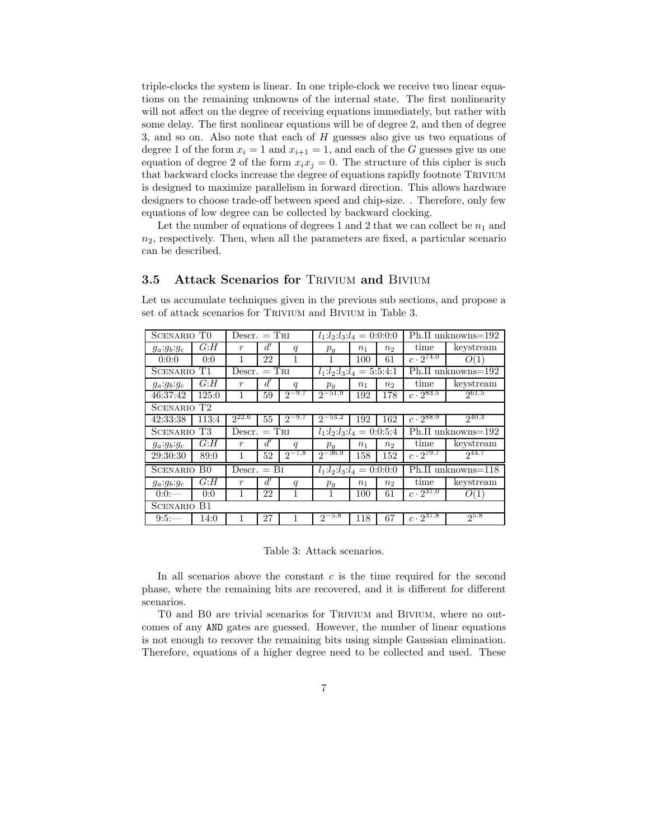triple-clocks the system is linear. In one triple-clock we receive two linear equations on the remaining unknowns of the internal state. The first nonlinearity will not affect on the degree of receiving equations immediately, but rather with some delay. The first nonlinear equations will be of degree 2, and then of degree 3, and so on. Also note that each of H guesses also give us two equations of degree 1 of the form  $x_i = 1$  and  $x_{i+1} = 1$ , and each of the G guesses give us one equation of degree 2 of the form  $x_ix_j = 0$ . The structure of this cipher is such that backward clocks increase the degree of equations rapidly footnote Trivium is designed to maximize parallelism in forward direction. This allows hardware designers to choose trade-off between speed and chip-size. . Therefore, only few equations of low degree can be collected by backward clocking.

Let the number of equations of degrees 1 and 2 that we can collect be  $n_1$  and  $n_2$ , respectively. Then, when all the parameters are fixed, a particular scenario can be described.

#### **3.5 Attack Scenarios for TRIVIUM and BIVIUM**

Let us accumulate techniques given in the previous sub sections, and propose a set of attack scenarios for TRIVIUM and BIVIUM in Table 3.

| SCENARIO TO        |                         | $Descr. = TRI$   |    |                           | $l_1: l_2: l_3: l_4 = 0:0:0:0$ |                    |                |                               | Ph.II unknowns=192 |
|--------------------|-------------------------|------------------|----|---------------------------|--------------------------------|--------------------|----------------|-------------------------------|--------------------|
| $g_a:g_b:g_c$      | G: H                    | $\boldsymbol{r}$ | d' | q                         | $p_g$                          | n <sub>1</sub>     | n <sub>2</sub> | time                          | keystream          |
| 0:0:0              | 0:0                     | 1                | 22 | 1                         |                                | 100                | 61             | $c \cdot \overline{2^{74.0}}$ | O(1)               |
| SCENARIO T1        |                         | $Descr. = TRI$   |    |                           | $l_1:l_2:l_3:l_4=5:5:4:1$      |                    |                |                               | Ph.II unknowns=192 |
| $g_a:g_b:g_c$      | G: H                    | $\boldsymbol{r}$ | d' | q                         | $p_{g}$                        | n <sub>1</sub>     | n <sub>2</sub> | time                          | keystream          |
| 46:37:42           | 125:0                   | 1                | 59 | $2^{-9.7}$                | $2^{-51.9}$                    | 192                | 178            | $c \cdot 2^{83.5}$            | 261.5              |
|                    | SCENARIO T2             |                  |    |                           |                                |                    |                |                               |                    |
| 42:33:38           | 113:4                   | $2^{22.6}$       | 55 | $2^{-9.7}$                | $2^{-53.2}$                    | 192                | 162            | $c\cdot \overline{2^{88.9}}$  | $2^{40.3}$         |
| SCENARIO T3        |                         | $Descr. = TRI$   |    | $l_1:l_2:l_3:l_4=0:0:5:4$ |                                | Ph.II unknowns=192 |                |                               |                    |
| $g_a : g_b : g_c$  | G: H                    | $\boldsymbol{r}$ | d' | q                         | $p_{g}$                        | n <sub>1</sub>     | n <sub>2</sub> | time                          | keystream          |
| 29:30:30           | 89:0                    | 1                | 52 | $2^{-7.8}$                | $2^{-36.9}$                    | 158                | 152            | $c \cdot 2^{79.7}$            | $2^{44.7}$         |
| <b>SCENARIO BO</b> |                         | $Descr. = Bi$    |    |                           | $l_1:l_2:l_3:l_4=0:0:0:0$      |                    |                |                               | Ph.II unknowns=118 |
| $g_a:g_b:g_c$      | G: H                    | $\boldsymbol{r}$ | d' | q                         | $p_{g}$                        | n <sub>1</sub>     | n <sub>2</sub> | time                          | keystream          |
| 0:0:               | 0:0                     | 1                | 22 | 1                         | 1                              | 100                | 61             | $c \cdot 2^{37.0}$            | (1)<br>O           |
|                    | $_{\rm B1}$<br>SCENARIO |                  |    |                           |                                |                    |                |                               |                    |
| 9:5:               | 14:0                    | 1                | 27 |                           | $2^{-5.8}$                     | 118                | 67             | $c\cdot 2^{37.8}$             | $2^{5.8}$          |

Table 3: Attack scenarios.

In all scenarios above the constant  $c$  is the time required for the second phase, where the remaining bits are recovered, and it is different for different scenarios.

T0 and B0 are trivial scenarios for Trivium and Bivium, where no outcomes of any AND gates are guessed. However, the number of linear equations is not enough to recover the remaining bits using simple Gaussian elimination. Therefore, equations of a higher degree need to be collected and used. These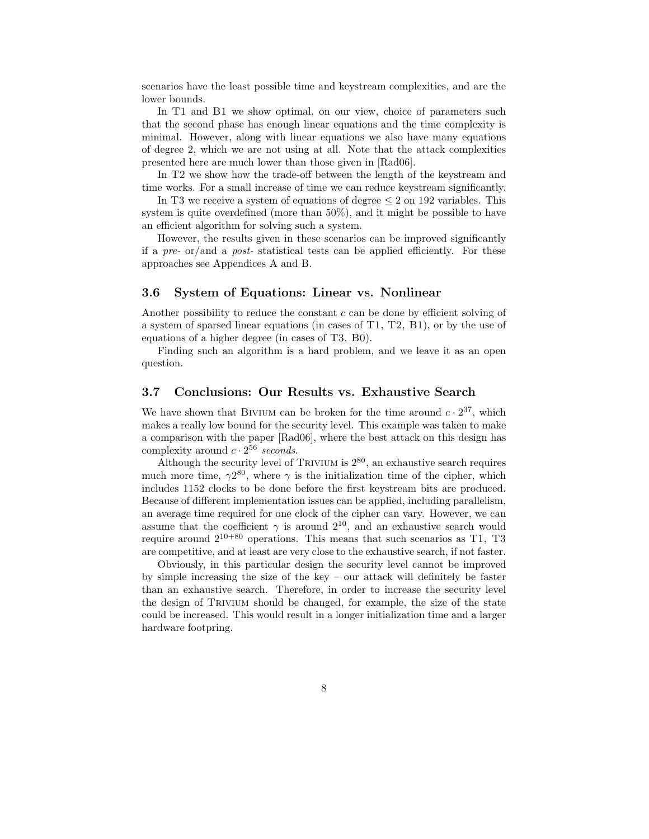scenarios have the least possible time and keystream complexities, and are the lower bounds.

In T1 and B1 we show optimal, on our view, choice of parameters such that the second phase has enough linear equations and the time complexity is minimal. However, along with linear equations we also have many equations of degree 2, which we are not using at all. Note that the attack complexities presented here are much lower than those given in [Rad06].

In T2 we show how the trade-off between the length of the keystream and time works. For a small increase of time we can reduce keystream significantly.

In T3 we receive a system of equations of degree  $\leq 2$  on 192 variables. This system is quite overdefined (more than 50%), and it might be possible to have an efficient algorithm for solving such a system.

However, the results given in these scenarios can be improved significantly if a *pre-* or/and a *post-* statistical tests can be applied efficiently. For these approaches see Appendices A and B.

#### **3.6 System of Equations: Linear vs. Nonlinear**

Another possibility to reduce the constant  $c$  can be done by efficient solving of a system of sparsed linear equations (in cases of T1, T2, B1), or by the use of equations of a higher degree (in cases of T3, B0).

Finding such an algorithm is a hard problem, and we leave it as an open question.

#### **3.7 Conclusions: Our Results vs. Exhaustive Search**

We have shown that BIVIUM can be broken for the time around  $c \cdot 2^{37}$ , which makes a really low bound for the security level. This example was taken to make a comparison with the paper [Rad06], where the best attack on this design has complexity around  $c \cdot 2^{56}$  *seconds*.

Although the security level of TRIVIUM is  $2^{80}$ , an exhaustive search requires much more time,  $\gamma 2^{80}$ , where  $\gamma$  is the initialization time of the cipher, which includes 1152 clocks to be done before the first keystream bits are produced. Because of different implementation issues can be applied, including parallelism, an average time required for one clock of the cipher can vary. However, we can assume that the coefficient  $\gamma$  is around  $2^{10}$ , and an exhaustive search would require around  $2^{10+80}$  operations. This means that such scenarios as T1, T3 are competitive, and at least are very close to the exhaustive search, if not faster.

Obviously, in this particular design the security level cannot be improved by simple increasing the size of the key – our attack will definitely be faster than an exhaustive search. Therefore, in order to increase the security level the design of Trivium should be changed, for example, the size of the state could be increased. This would result in a longer initialization time and a larger hardware footpring.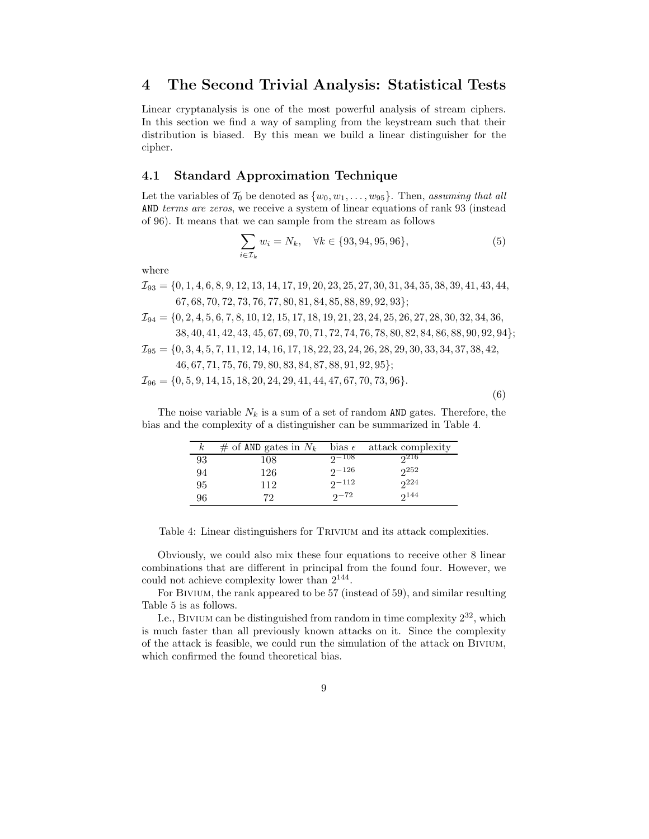### **4 The Second Trivial Analysis: Statistical Tests**

Linear cryptanalysis is one of the most powerful analysis of stream ciphers. In this section we find a way of sampling from the keystream such that their distribution is biased. By this mean we build a linear distinguisher for the cipher.

#### **4.1 Standard Approximation Technique**

Let the variables of  $\mathcal{T}_0$  be denoted as  $\{w_0, w_1, \ldots, w_{95}\}$ . Then, *assuming that all* AND *terms are zeros*, we receive a system of linear equations of rank 93 (instead of 96). It means that we can sample from the stream as follows

$$
\sum_{i \in \mathcal{I}_k} w_i = N_k, \quad \forall k \in \{93, 94, 95, 96\},\tag{5}
$$

where

 $\mathcal{I}_{93} = \{0, 1, 4, 6, 8, 9, 12, 13, 14, 17, 19, 20, 23, 25, 27, 30, 31, 34, 35, 38, 39, 41, 43, 44,$ 67, 68, 70, 72, 73, 76, 77, 80, 81, 84, 85, 88, 89, 92, 93};

$$
\mathcal{I}_{94} = \{0, 2, 4, 5, 6, 7, 8, 10, 12, 15, 17, 18, 19, 21, 23, 24, 25, 26, 27, 28, 30, 32, 34, 36,\\ 38, 40, 41, 42, 43, 45, 67, 69, 70, 71, 72, 74, 76, 78, 80, 82, 84, 86, 88, 90, 92, 94\};
$$

 $\mathcal{I}_{95} = \{0, 3, 4, 5, 7, 11, 12, 14, 16, 17, 18, 22, 23, 24, 26, 28, 29, 30, 33, 34, 37, 38, 42,$ 46, 67, 71, 75, 76, 79, 80, 83, 84, 87, 88, 91, 92, 95};

$$
\mathcal{I}_{96} = \{0, 5, 9, 14, 15, 18, 20, 24, 29, 41, 44, 47, 67, 70, 73, 96\}.
$$

(6)

The noise variable  $N_k$  is a sum of a set of random AND gates. Therefore, the bias and the complexity of a distinguisher can be summarized in Table 4.

| $\kappa$ | # of AND gates in $N_k$ | bias $\epsilon$ | attack complexity |
|----------|-------------------------|-----------------|-------------------|
| 93       | 108                     | $2 - 108$       | 216               |
| 94       | 126                     | $2^{\sim}$ 126  | 252               |
| 95       | 112                     | $2 - 112$       | 224               |
| 96       | 79                      | $2^{172}$       | $2^{144}$         |

Table 4: Linear distinguishers for Trivium and its attack complexities.

Obviously, we could also mix these four equations to receive other 8 linear combinations that are different in principal from the found four. However, we could not achieve complexity lower than 2<sup>144</sup>.

For Bivium, the rank appeared to be 57 (instead of 59), and similar resulting Table 5 is as follows.

I.e., BIVIUM can be distinguished from random in time complexity  $2^{32}$ , which is much faster than all previously known attacks on it. Since the complexity of the attack is feasible, we could run the simulation of the attack on Bivium, which confirmed the found theoretical bias.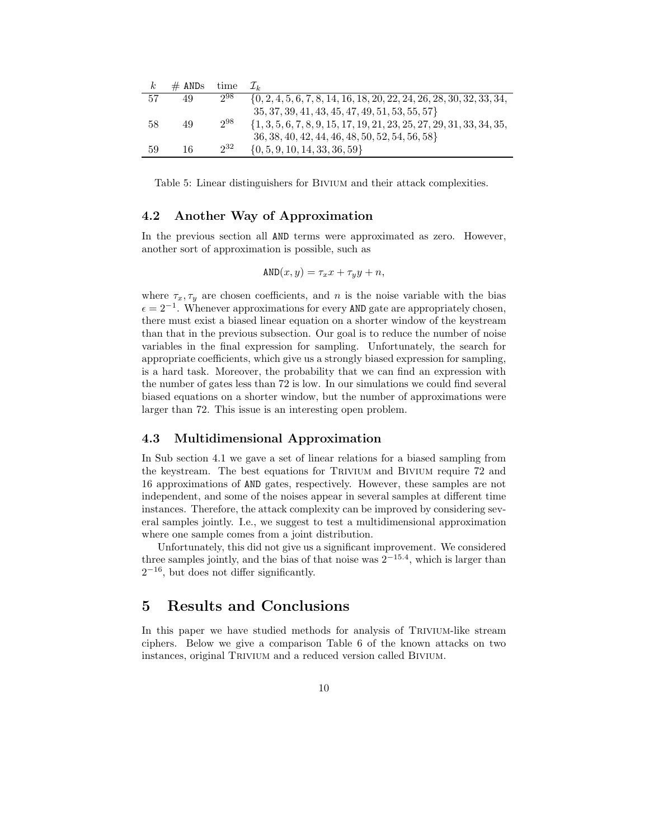| $_{k}$ | $#$ ANDs | time     |                                                                          |
|--------|----------|----------|--------------------------------------------------------------------------|
| 57     | 49       | 298      | $\{0, 2, 4, 5, 6, 7, 8, 14, 16, 18, 20, 22, 24, 26, 28, 30, 32, 33, 34,$ |
|        |          |          | $35, 37, 39, 41, 43, 45, 47, 49, 51, 53, 55, 57$                         |
| 58     | 49       | $2^{98}$ | $\{1, 3, 5, 6, 7, 8, 9, 15, 17, 19, 21, 23, 25, 27, 29, 31, 33, 34, 35,$ |
|        |          |          | 36, 38, 40, 42, 44, 46, 48, 50, 52, 54, 56, 58}                          |
| 59     | 16       | $2^{32}$ | $\{0, 5, 9, 10, 14, 33, 36, 59\}$                                        |

Table 5: Linear distinguishers for Bivium and their attack complexities.

#### **4.2 Another Way of Approximation**

In the previous section all AND terms were approximated as zero. However, another sort of approximation is possible, such as

$$
\text{AND}(x, y) = \tau_x x + \tau_y y + n,
$$

where  $\tau_x, \tau_y$  are chosen coefficients, and n is the noise variable with the bias  $\epsilon = 2^{-1}$ . Whenever approximations for every AND gate are appropriately chosen, there must exist a biased linear equation on a shorter window of the keystream than that in the previous subsection. Our goal is to reduce the number of noise variables in the final expression for sampling. Unfortunately, the search for appropriate coefficients, which give us a strongly biased expression for sampling, is a hard task. Moreover, the probability that we can find an expression with the number of gates less than 72 is low. In our simulations we could find several biased equations on a shorter window, but the number of approximations were larger than 72. This issue is an interesting open problem.

#### **4.3 Multidimensional Approximation**

In Sub section 4.1 we gave a set of linear relations for a biased sampling from the keystream. The best equations for Trivium and Bivium require 72 and 16 approximations of AND gates, respectively. However, these samples are not independent, and some of the noises appear in several samples at different time instances. Therefore, the attack complexity can be improved by considering several samples jointly. I.e., we suggest to test a multidimensional approximation where one sample comes from a joint distribution.

Unfortunately, this did not give us a significant improvement. We considered three samples jointly, and the bias of that noise was  $2^{-15.4}$ , which is larger than  $2^{-16}$ , but does not differ significantly.

## **5 Results and Conclusions**

In this paper we have studied methods for analysis of TRIVIUM-like stream ciphers. Below we give a comparison Table 6 of the known attacks on two instances, original TRIVIUM and a reduced version called BIVIUM.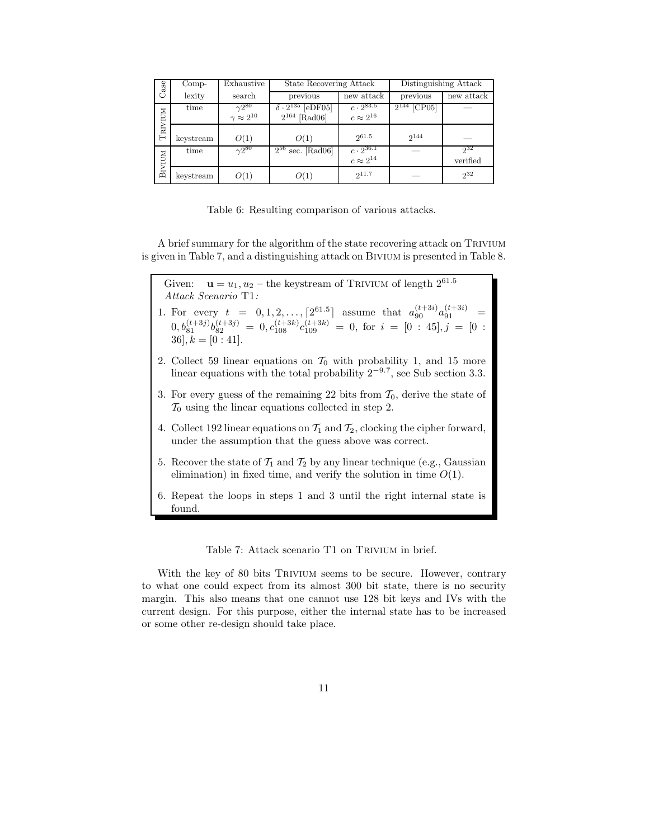| Case          | $Comp-$   | Exhaustive                | State Recovering Attack        |                                             | Distinguishing Attack |            |  |
|---------------|-----------|---------------------------|--------------------------------|---------------------------------------------|-----------------------|------------|--|
|               | lexity    | search                    | previous                       | new attack                                  | previous              | new attack |  |
|               | time      | $\overline{\gamma2^{80}}$ | $\delta \cdot 2^{135}$ [eDF05] | $c \cdot 2^{83.5}$                          | $2^{144}$ [CP05]      |            |  |
| TRIVIUM       |           | $\gamma \approx 2^{10}$   | $2^{164}$ [Rad06]              | $c \approx 2^{16}$                          |                       |            |  |
|               |           |                           |                                |                                             |                       |            |  |
|               | keystream | O(1)                      | O(1)                           | 261.5                                       | 2144                  |            |  |
|               | time      | $\gamma 2^{80}$           | $2^{56}$<br>sec. $[Rad06]$     | $\frac{c \cdot 2^{36.1}}{c \approx 2^{14}}$ |                       | 232        |  |
|               |           |                           |                                |                                             |                       | verified   |  |
| <b>BIVIUM</b> | keystream | O(1)                      | O(1)                           | 211.7                                       |                       | $2^{32}$   |  |

Table 6: Resulting comparison of various attacks.

A brief summary for the algorithm of the state recovering attack on TRIVIUM is given in Table 7, and a distinguishing attack on Bivium is presented in Table 8.

Given:  $\mathbf{u} = u_1, u_2$  – the keystream of TRIVIUM of length  $2^{61.5}$ *Attack Scenario* T1*:*

- 1. For every  $t = 0, 1, 2, ..., [2^{61.5}]$  assume that  $a_{90}^{(t+3i)} a_{91}^{(t+3i)} =$  $(0, b_{81}^{(t+3j)}b_{82}^{(t+3j)} = 0, c_{108}^{(t+3k)}c_{109}^{(t+3k)} = 0$ , for  $i = [0 : 45], j = [0 :$  $36, k = [0:41].$
- 2. Collect 59 linear equations on  $\mathcal{T}_0$  with probability 1, and 15 more linear equations with the total probability  $2^{-9.7}$ , see Sub section 3.3.
- 3. For every guess of the remaining 22 bits from  $\mathcal{T}_0$ , derive the state of  $\mathcal{T}_0$  using the linear equations collected in step 2.
- 4. Collect 192 linear equations on  $\mathcal{T}_1$  and  $\mathcal{T}_2$ , clocking the cipher forward, under the assumption that the guess above was correct.
- 5. Recover the state of  $\mathcal{T}_1$  and  $\mathcal{T}_2$  by any linear technique (e.g., Gaussian elimination) in fixed time, and verify the solution in time  $O(1)$ .
- 6. Repeat the loops in steps 1 and 3 until the right internal state is found.

Table 7: Attack scenario T1 on Trivium in brief.

With the key of 80 bits TRIVIUM seems to be secure. However, contrary to what one could expect from its almost 300 bit state, there is no security margin. This also means that one cannot use 128 bit keys and IVs with the current design. For this purpose, either the internal state has to be increased or some other re-design should take place.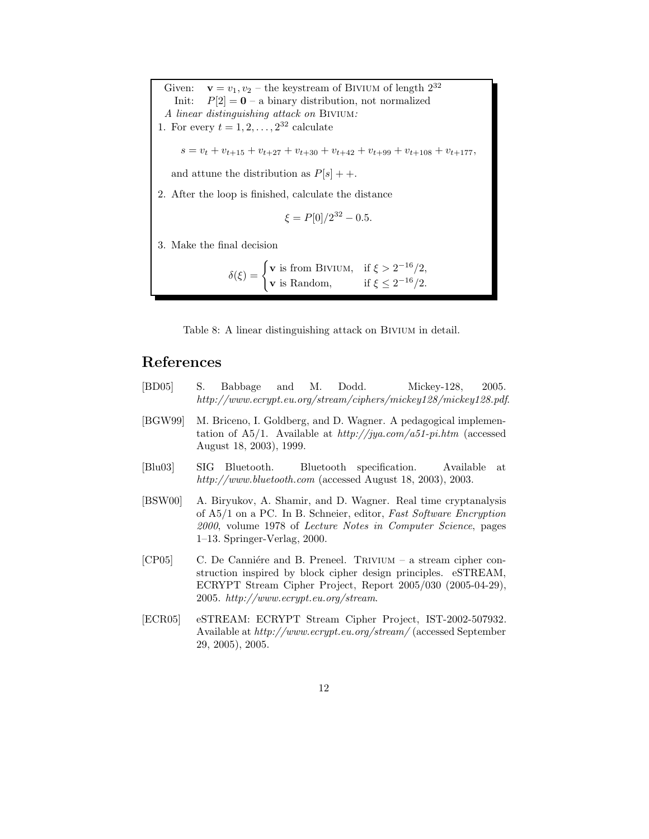Given:  $\mathbf{v} = v_1, v_2$  – the keystream of BIVIUM of length  $2^{32}$ Init:  $P[2] = \mathbf{0}$  – a binary distribution, not normalized *A linear distinguishing attack on* Bivium*:* 1. For every  $t = 1, 2, \ldots, 2^{32}$  calculate  $s = v_t + v_{t+15} + v_{t+27} + v_{t+30} + v_{t+42} + v_{t+99} + v_{t+108} + v_{t+177}$ and attune the distribution as  $P[s] + +$ . 2. After the loop is finished, calculate the distance  $\xi = P[0]/2^{32} - 0.5.$ 3. Make the final decision  $\delta(\xi) = \begin{cases} \mathbf{v} \text{ is from BIVIUM,} & \text{if } \xi > 2^{-16}/2, \\ 0 & \text{if } \xi > 2^{-16}/2, \end{cases}$ **v** is Random, if  $\xi \leq 2^{-16}/2$ .

Table 8: A linear distinguishing attack on BIVIUM in detail.

## **References**

- [BD05] S. Babbage and M. Dodd. Mickey-128, 2005. *http://www.ecrypt.eu.org/stream/ciphers/mickey128/mickey128.pdf*.
- [BGW99] M. Briceno, I. Goldberg, and D. Wagner. A pedagogical implementation of A5/1. Available at *http://jya.com/a51-pi.htm* (accessed August 18, 2003), 1999.
- [Blu03] SIG Bluetooth. Bluetooth specification. Available at *http://www.bluetooth.com* (accessed August 18, 2003), 2003.
- [BSW00] A. Biryukov, A. Shamir, and D. Wagner. Real time cryptanalysis of A5/1 on a PC. In B. Schneier, editor, *Fast Software Encryption 2000*, volume 1978 of *Lecture Notes in Computer Science*, pages 1–13. Springer-Verlag, 2000.
- [CP05] C. De Canniére and B. Preneel. TRIVIUM a stream cipher construction inspired by block cipher design principles. eSTREAM, ECRYPT Stream Cipher Project, Report 2005/030 (2005-04-29), 2005. *http://www.ecrypt.eu.org/stream*.
- [ECR05] eSTREAM: ECRYPT Stream Cipher Project, IST-2002-507932. Available at *http://www.ecrypt.eu.org/stream/* (accessed September 29, 2005), 2005.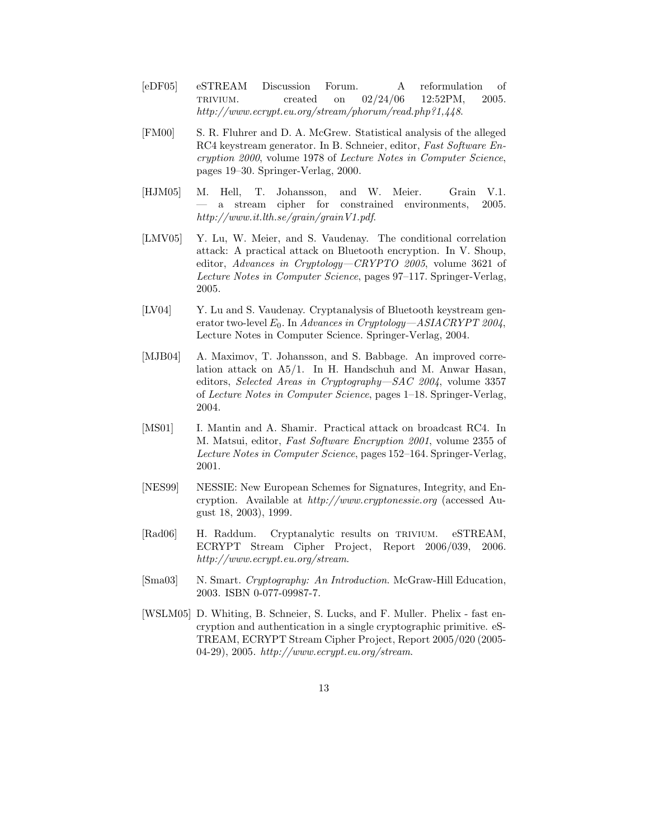- [eDF05] eSTREAM Discussion Forum. A reformulation of trivium. created on 02/24/06 12:52PM, 2005. *http://www.ecrypt.eu.org/stream/phorum/read.php?1,448*.
- [FM00] S. R. Fluhrer and D. A. McGrew. Statistical analysis of the alleged RC4 keystream generator. In B. Schneier, editor, *Fast Software Encryption 2000*, volume 1978 of *Lecture Notes in Computer Science*, pages 19–30. Springer-Verlag, 2000.
- [HJM05] M. Hell, T. Johansson, and W. Meier. Grain V.1. — a stream cipher for constrained environments, 2005. *http://www.it.lth.se/grain/grainV1.pdf*.
- [LMV05] Y. Lu, W. Meier, and S. Vaudenay. The conditional correlation attack: A practical attack on Bluetooth encryption. In V. Shoup, editor, *Advances in Cryptology—CRYPTO 2005*, volume 3621 of *Lecture Notes in Computer Science*, pages 97–117. Springer-Verlag, 2005.
- [LV04] Y. Lu and S. Vaudenay. Cryptanalysis of Bluetooth keystream generator two-level  $E_0$ . In *Advances in Cryptology—ASIACRYPT 2004*, Lecture Notes in Computer Science. Springer-Verlag, 2004.
- [MJB04] A. Maximov, T. Johansson, and S. Babbage. An improved correlation attack on A5/1. In H. Handschuh and M. Anwar Hasan, editors, *Selected Areas in Cryptography—SAC 2004*, volume 3357 of *Lecture Notes in Computer Science*, pages 1–18. Springer-Verlag, 2004.
- [MS01] I. Mantin and A. Shamir. Practical attack on broadcast RC4. In M. Matsui, editor, *Fast Software Encryption 2001*, volume 2355 of *Lecture Notes in Computer Science*, pages 152–164. Springer-Verlag, 2001.
- [NES99] NESSIE: New European Schemes for Signatures, Integrity, and Encryption. Available at *http://www.cryptonessie.org* (accessed August 18, 2003), 1999.
- [Rad06] H. Raddum. Cryptanalytic results on trivium. eSTREAM, ECRYPT Stream Cipher Project, Report 2006/039, 2006. *http://www.ecrypt.eu.org/stream*.
- [Sma03] N. Smart. *Cryptography: An Introduction*. McGraw-Hill Education, 2003. ISBN 0-077-09987-7.
- [WSLM05] D. Whiting, B. Schneier, S. Lucks, and F. Muller. Phelix fast encryption and authentication in a single cryptographic primitive. eS-TREAM, ECRYPT Stream Cipher Project, Report 2005/020 (2005- 04-29), 2005. *http://www.ecrypt.eu.org/stream*.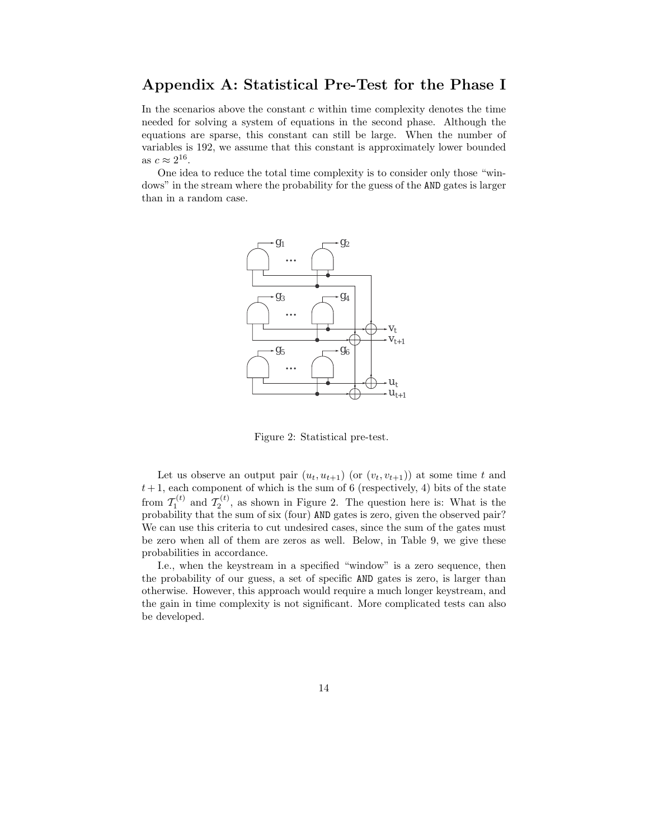## **Appendix A: Statistical Pre-Test for the Phase I**

In the scenarios above the constant  $c$  within time complexity denotes the time needed for solving a system of equations in the second phase. Although the equations are sparse, this constant can still be large. When the number of variables is 192, we assume that this constant is approximately lower bounded as  $c \approx 2^{16}$ .

One idea to reduce the total time complexity is to consider only those "windows" in the stream where the probability for the guess of the AND gates is larger than in a random case.



Figure 2: Statistical pre-test.

Let us observe an output pair  $(u_t, u_{t+1})$  (or  $(v_t, v_{t+1})$ ) at some time t and  $t+1$ , each component of which is the sum of 6 (respectively, 4) bits of the state from  $\mathcal{T}_1^{(t)}$  and  $\mathcal{T}_2^{(t)}$ , as shown in Figure 2. The question here is: What is the probability that the sum of six (four) AND gates is zero, given the observed pair? We can use this criteria to cut undesired cases, since the sum of the gates must be zero when all of them are zeros as well. Below, in Table 9, we give these probabilities in accordance.

I.e., when the keystream in a specified "window" is a zero sequence, then the probability of our guess, a set of specific AND gates is zero, is larger than otherwise. However, this approach would require a much longer keystream, and the gain in time complexity is not significant. More complicated tests can also be developed.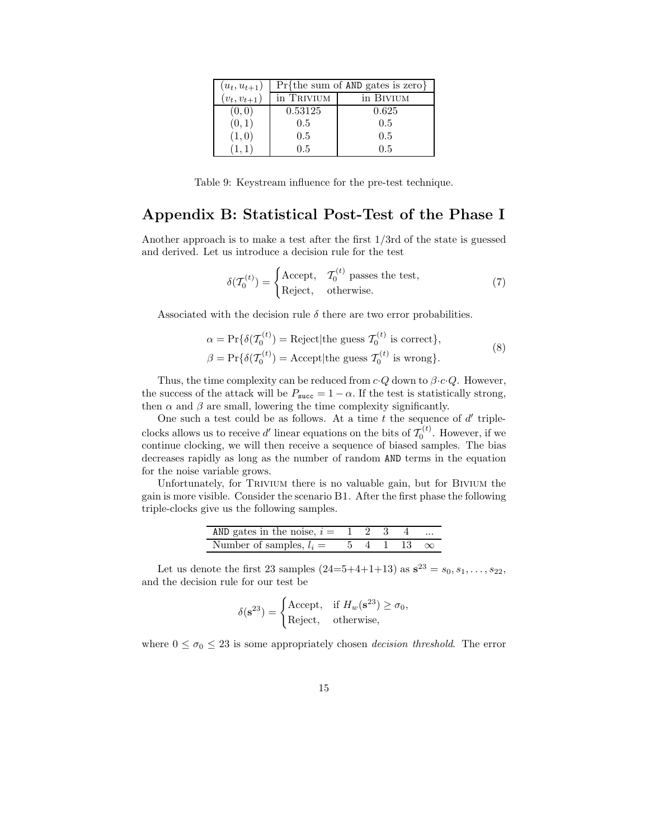| $(u_t, u_{t+1})$ |            | $Pr{the sum of AND gates is zero}$ |  |  |  |  |
|------------------|------------|------------------------------------|--|--|--|--|
| $(v_t, v_{t+1})$ | in Trivium | in BIVIUM                          |  |  |  |  |
| (0,0)            | 0.53125    | 0.625                              |  |  |  |  |
| (0, 1)           | 0.5        | 0.5                                |  |  |  |  |
| (1,0)            | 0.5        | 0.5                                |  |  |  |  |
|                  | 0.5        | 0.5                                |  |  |  |  |

Table 9: Keystream influence for the pre-test technique.

# **Appendix B: Statistical Post-Test of the Phase I**

Another approach is to make a test after the first 1/3rd of the state is guessed and derived. Let us introduce a decision rule for the test

$$
\delta(\mathcal{T}_0^{(t)}) = \begin{cases}\n\text{Accept}, & \mathcal{T}_0^{(t)} \text{ passes the test}, \\
\text{Reject}, & \text{otherwise}.\n\end{cases}
$$
\n(7)

Associated with the decision rule  $\delta$  there are two error probabilities.

$$
\alpha = \Pr\{\delta(\mathcal{T}_0^{(t)}) = \text{Reject}|\text{the guess }\mathcal{T}_0^{(t)} \text{ is correct}\},\
$$
  

$$
\beta = \Pr\{\delta(\mathcal{T}_0^{(t)}) = \text{Accept}|\text{the guess }\mathcal{T}_0^{(t)} \text{ is wrong}\}.
$$
 (8)

Thus, the time complexity can be reduced from  $c \cdot Q$  down to  $\beta \cdot c \cdot Q$ . However, the success of the attack will be  $P_{succ} = 1 - \alpha$ . If the test is statistically strong, then  $\alpha$  and  $\beta$  are small, lowering the time complexity significantly.

One such a test could be as follows. At a time  $t$  the sequence of  $d'$  tripleclocks allows us to receive d' linear equations on the bits of  $\tilde{T}_0^{(t)}$ . However, if we continue clocking, we will then receive a sequence of biased samples. The bias decreases rapidly as long as the number of random AND terms in the equation for the noise variable grows.

Unfortunately, for Trivium there is no valuable gain, but for Bivium the gain is more visible. Consider the scenario B1. After the first phase the following triple-clocks give us the following samples.

| AND gates in the noise, $i = 1 \ 2 \ 3 \ 4$                        |  |  | $\cdots$ |
|--------------------------------------------------------------------|--|--|----------|
| Number of samples, $l_i = 5 \quad 4 \quad 1 \quad 13 \quad \infty$ |  |  |          |
|                                                                    |  |  |          |

Let us denote the first 23 samples  $(24=5+4+1+13)$  as  $s^{23} = s_0, s_1, \ldots, s_{22}$ , and the decision rule for our test be

$$
\delta(\mathbf{s}^{23}) = \begin{cases} \text{Accept}, & \text{if } H_w(\mathbf{s}^{23}) \ge \sigma_0, \\ \text{Reject}, & \text{otherwise}, \end{cases}
$$

where  $0 \leq \sigma_0 \leq 23$  is some appropriately chosen *decision threshold*. The error